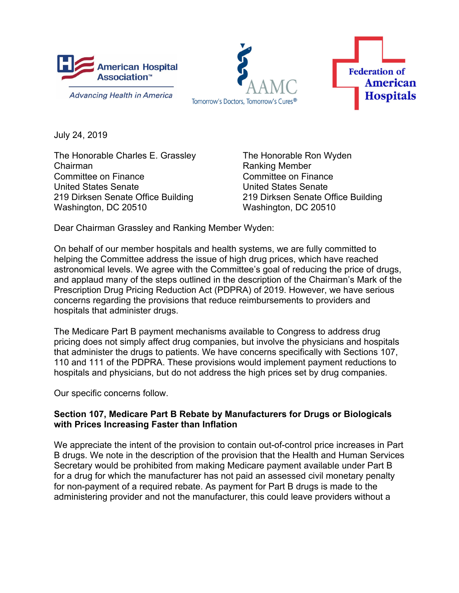

**Advancing Health in America** 





July 24, 2019

The Honorable Charles E. Grassley The Honorable Ron Wyden Chairman **Chairman** Ranking Member Committee on Finance Committee on Finance United States Senate United States Senate 219 Dirksen Senate Office Building 219 Dirksen Senate Office Building Washington, DC 20510 Washington, DC 20510

Dear Chairman Grassley and Ranking Member Wyden:

On behalf of our member hospitals and health systems, we are fully committed to helping the Committee address the issue of high drug prices, which have reached astronomical levels. We agree with the Committee's goal of reducing the price of drugs, and applaud many of the steps outlined in the description of the Chairman's Mark of the Prescription Drug Pricing Reduction Act (PDPRA) of 2019. However, we have serious concerns regarding the provisions that reduce reimbursements to providers and hospitals that administer drugs.

The Medicare Part B payment mechanisms available to Congress to address drug pricing does not simply affect drug companies, but involve the physicians and hospitals that administer the drugs to patients. We have concerns specifically with Sections 107, 110 and 111 of the PDPRA. These provisions would implement payment reductions to hospitals and physicians, but do not address the high prices set by drug companies.

Our specific concerns follow.

## **Section 107, Medicare Part B Rebate by Manufacturers for Drugs or Biologicals with Prices Increasing Faster than Inflation**

We appreciate the intent of the provision to contain out-of-control price increases in Part B drugs. We note in the description of the provision that the Health and Human Services Secretary would be prohibited from making Medicare payment available under Part B for a drug for which the manufacturer has not paid an assessed civil monetary penalty for non-payment of a required rebate. As payment for Part B drugs is made to the administering provider and not the manufacturer, this could leave providers without a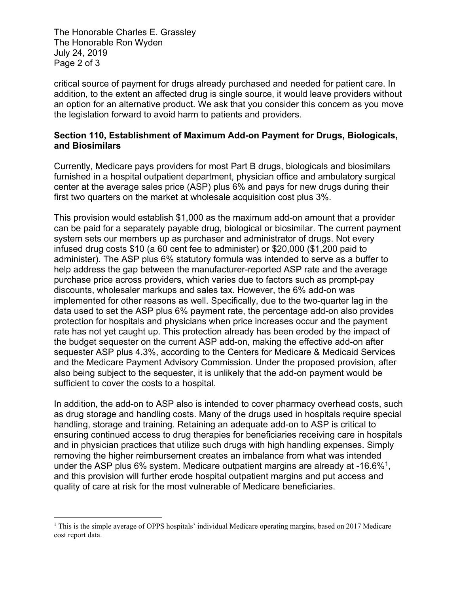The Honorable Charles E. Grassley The Honorable Ron Wyden July 24, 2019 Page 2 of 3

critical source of payment for drugs already purchased and needed for patient care. In addition, to the extent an affected drug is single source, it would leave providers without an option for an alternative product. We ask that you consider this concern as you move the legislation forward to avoid harm to patients and providers.

## **Section 110, Establishment of Maximum Add-on Payment for Drugs, Biologicals, and Biosimilars**

Currently, Medicare pays providers for most Part B drugs, biologicals and biosimilars furnished in a hospital outpatient department, physician office and ambulatory surgical center at the average sales price (ASP) plus 6% and pays for new drugs during their first two quarters on the market at wholesale acquisition cost plus 3%.

This provision would establish \$1,000 as the maximum add-on amount that a provider can be paid for a separately payable drug, biological or biosimilar. The current payment system sets our members up as purchaser and administrator of drugs. Not every infused drug costs \$10 (a 60 cent fee to administer) or \$20,000 (\$1,200 paid to administer). The ASP plus 6% statutory formula was intended to serve as a buffer to help address the gap between the manufacturer-reported ASP rate and the average purchase price across providers, which varies due to factors such as prompt-pay discounts, wholesaler markups and sales tax. However, the 6% add-on was implemented for other reasons as well. Specifically, due to the two-quarter lag in the data used to set the ASP plus 6% payment rate, the percentage add-on also provides protection for hospitals and physicians when price increases occur and the payment rate has not yet caught up. This protection already has been eroded by the impact of the budget sequester on the current ASP add-on, making the effective add-on after sequester ASP plus 4.3%, according to the Centers for Medicare & Medicaid Services and the Medicare Payment Advisory Commission. Under the proposed provision, after also being subject to the sequester, it is unlikely that the add-on payment would be sufficient to cover the costs to a hospital.

In addition, the add-on to ASP also is intended to cover pharmacy overhead costs, such as drug storage and handling costs. Many of the drugs used in hospitals require special handling, storage and training. Retaining an adequate add-on to ASP is critical to ensuring continued access to drug therapies for beneficiaries receiving care in hospitals and in physician practices that utilize such drugs with high handling expenses. Simply removing the higher reimbursement creates an imbalance from what was intended under the ASP plus 6% system. Medicare outpatient margins are already at -16.6%<sup>1</sup>, and this provision will further erode hospital outpatient margins and put access and quality of care at risk for the most vulnerable of Medicare beneficiaries.

<sup>&</sup>lt;sup>1</sup> This is the simple average of OPPS hospitals' individual Medicare operating margins, based on 2017 Medicare cost report data.